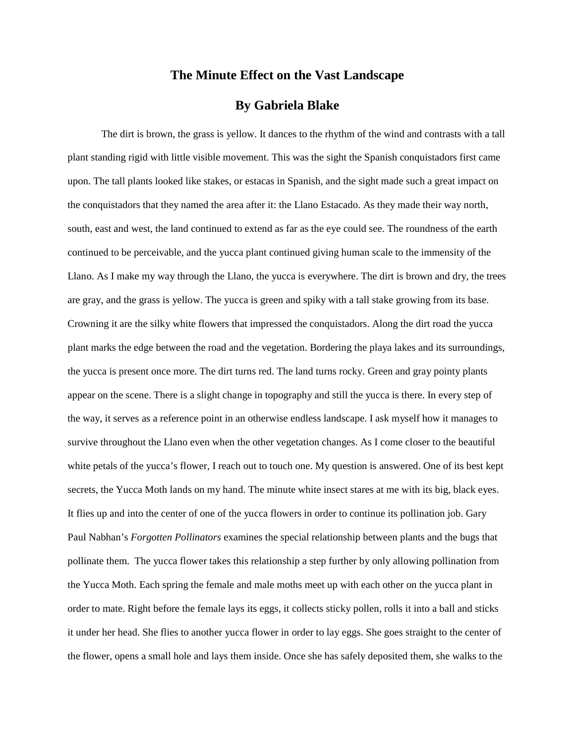## **The Minute Effect on the Vast Landscape**

## **By Gabriela Blake**

The dirt is brown, the grass is yellow. It dances to the rhythm of the wind and contrasts with a tall plant standing rigid with little visible movement. This was the sight the Spanish conquistadors first came upon. The tall plants looked like stakes, or estacas in Spanish, and the sight made such a great impact on the conquistadors that they named the area after it: the Llano Estacado. As they made their way north, south, east and west, the land continued to extend as far as the eye could see. The roundness of the earth continued to be perceivable, and the yucca plant continued giving human scale to the immensity of the Llano. As I make my way through the Llano, the yucca is everywhere. The dirt is brown and dry, the trees are gray, and the grass is yellow. The yucca is green and spiky with a tall stake growing from its base. Crowning it are the silky white flowers that impressed the conquistadors. Along the dirt road the yucca plant marks the edge between the road and the vegetation. Bordering the playa lakes and its surroundings, the yucca is present once more. The dirt turns red. The land turns rocky. Green and gray pointy plants appear on the scene. There is a slight change in topography and still the yucca is there. In every step of the way, it serves as a reference point in an otherwise endless landscape. I ask myself how it manages to survive throughout the Llano even when the other vegetation changes. As I come closer to the beautiful white petals of the yucca's flower, I reach out to touch one. My question is answered. One of its best kept secrets, the Yucca Moth lands on my hand. The minute white insect stares at me with its big, black eyes. It flies up and into the center of one of the yucca flowers in order to continue its pollination job. Gary Paul Nabhan's *Forgotten Pollinators* examines the special relationship between plants and the bugs that pollinate them. The yucca flower takes this relationship a step further by only allowing pollination from the Yucca Moth. Each spring the female and male moths meet up with each other on the yucca plant in order to mate. Right before the female lays its eggs, it collects sticky pollen, rolls it into a ball and sticks it under her head. She flies to another yucca flower in order to lay eggs. She goes straight to the center of the flower, opens a small hole and lays them inside. Once she has safely deposited them, she walks to the